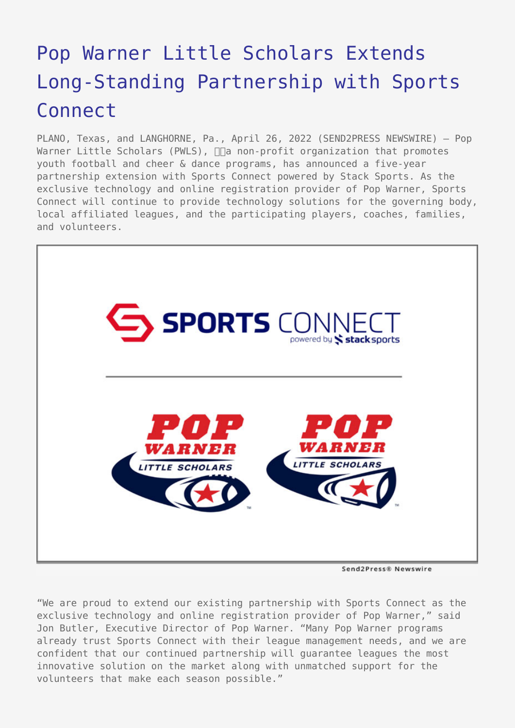## [Pop Warner Little Scholars Extends](https://www.send2press.com/wire/pop-warner-little-scholars-extends-long-standing-partnership-with-sports-connect/) [Long-Standing Partnership with Sports](https://www.send2press.com/wire/pop-warner-little-scholars-extends-long-standing-partnership-with-sports-connect/) [Connect](https://www.send2press.com/wire/pop-warner-little-scholars-extends-long-standing-partnership-with-sports-connect/)

PLANO, Texas, and LANGHORNE, Pa., April 26, 2022 (SEND2PRESS NEWSWIRE) — Pop Warner Little Scholars (PWLS),  $\Box$  non-profit organization that promotes youth football and cheer & dance programs, has announced a five-year partnership extension with Sports Connect powered by Stack Sports. As the exclusive technology and online registration provider of Pop Warner, Sports Connect will continue to provide technology solutions for the governing body, local affiliated leagues, and the participating players, coaches, families, and volunteers.



Send2Press® Newswire

"We are proud to extend our existing partnership with Sports Connect as the exclusive technology and online registration provider of Pop Warner," said Jon Butler, Executive Director of Pop Warner. "Many Pop Warner programs already trust Sports Connect with their league management needs, and we are confident that our continued partnership will guarantee leagues the most innovative solution on the market along with unmatched support for the volunteers that make each season possible."